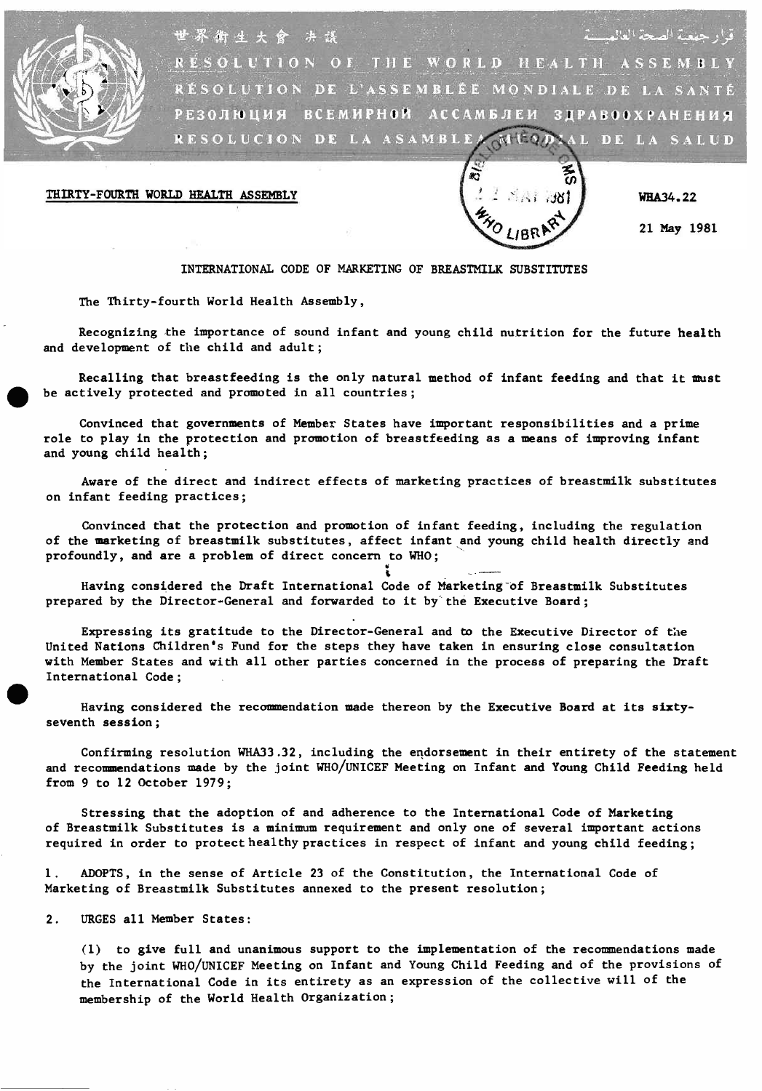

قرار جمعية الصحة العالمي 世界衡生大會 决谈 RESOLUTION OF THE WORLD HEALTH ASSEMBLY RËSOLUTION DE L'ASSEMBLÉE MONDIALE DE LA SANTÉ РЕЗОЛЮЦИЯ ВсЕмиРН©Й АССАМБЛЕИ 3ДРАВООХРАмЕМиЯ RESOLUCION DE LA ASAMBLEA MUSDIAL DE LA SALUD

# THIRTY-FOURTH WORLD HEALTH ASSEMBLY



WHA34.22

21 May 1981

### INTERNATIONAL CODE OF MARKETING OF BREASТMILK SUBSTITUTES

The Thirty- fourth World Health Assembly,

Recognizing the importance of sound infant and young child nutrition for the future health and development of the child and adult;

Recalling that breastfeeding is the only natural method of infant feeding and that it must be actively protected and promoted in all countries;

Convinced that governments of Member States have important responsibilities and a prime role to play in the protection and promotion of breastfeeding as a means of improving infant and young child health;

Aware of the direct and indirect effects of marketing practices of breastmilk substitutes on infant feeding practices;

Convinced that the protection and promotion of infant feeding, including the regulation of the marketing of breastmilk substitutes, affect infant and young child health directly and profoundly, and are a problem of direct concern to WHO;

Having considered the Draft International Code of Marketing of Breastmilk Substitutes prepared by the Director -General and forwarded to it by the Executive Board;

United Nations Children's Fund for the steps they have taken in ensuring close consultation<br>with Member States and with all other parties concerned in the process of preparing the Drain<br>International Code;<br>Having considere Expressing its gratitude to the Director -General and to the Executive Director of the United Nations Children's Fund for the steps they have taken in ensuring close consultation with Member States and with all other parties concerned in the process of preparing the Draft International Code;

seventh session;

Confirming resolution WHÀ33.32, including the endorsement in their entirety of the statement and recommendations made by the joint WHO /UNICEF Meeting on Infant and Young Child Feeding held from 9 to 12 October 1979;

Stressing that the adoption of and adherence to the International Code of Marketing of Breastmilk Substitutes is a minimum requirement and only one of several important actions required in order to protect healthy practices in respect of infant and young child feeding;

1. ADOPTS, in the sense of Article 23 of the Constitution, the International Code of Marketing of Breastmilk Substitutes annexed to the present resolution;

2. URGES all Member States:

(1) to give full and unanimous support to the implementation of the recommendations made by the joint WHO/UNICEF Meeting on Infant and Young Child Feeding and of the provisions of the International Code in its entirety as an expression of the collective will of the membership of the World Health Organization;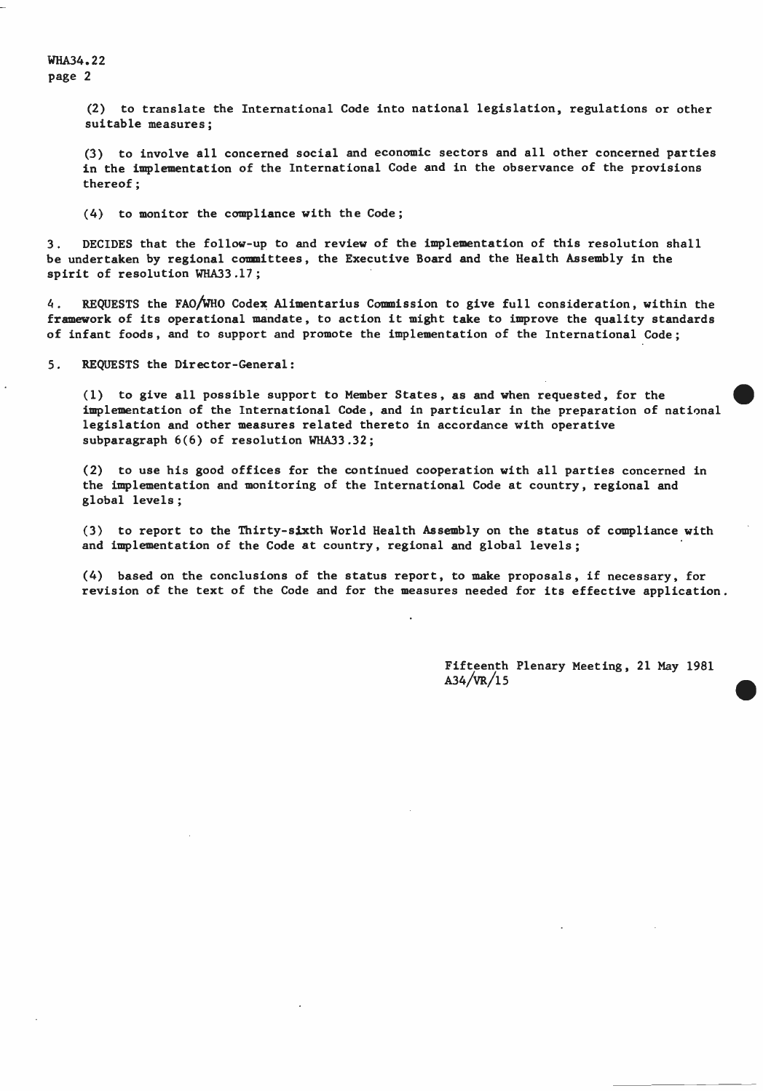WHА34.22 page 2

> (2) to translate the International Code into national legislation, regulations or other suitable measures;

> (3) to involve all concerned social and economic sectors and all other concerned parties in the implementation of the International Code and in the observance of the provisions thereof;

(4) to monitor the compliance with the Code;

3. DECIDES that the follow -up to and review of the implementation of this resolution shall be undertaken by regional committees, the Executive Board and the Health Assembly in the spirit of resolution WHA33.17;

4. REQUESTS the FAO/WHO Codex Alimentarius Commission to give full consideration, within the framework of its operational mandate, to action it might take to improve the quality standards of infant foods, and to support and promote the implementation of the International Code;

5. REQUESTS the Director -General:

(1) to give all possible support to Member States, as and when requested, for the implementation of the International Code, and in particular in the preparation of national legislation and other measures related thereto in accordance with operative subparagraph 6(6) of resolution WHА33.32;

(2) to use his good offices for the continued cooperation with all parties concerned in the implementation and monitoring of the International Code at country, regional and global levels;

(3) to report to the Thirty-sixth World Health Assembly on the status of compliance with and implementation of the Code at country, regional and global levels;

(4) based on the conclusions of the status report, to make proposals, if necessary, for revision of the text of the Code and for the measures needed for its effective application.

> Fifteenth Plenary Meeting, 21 May 1981  $A34/VR/15$

•

•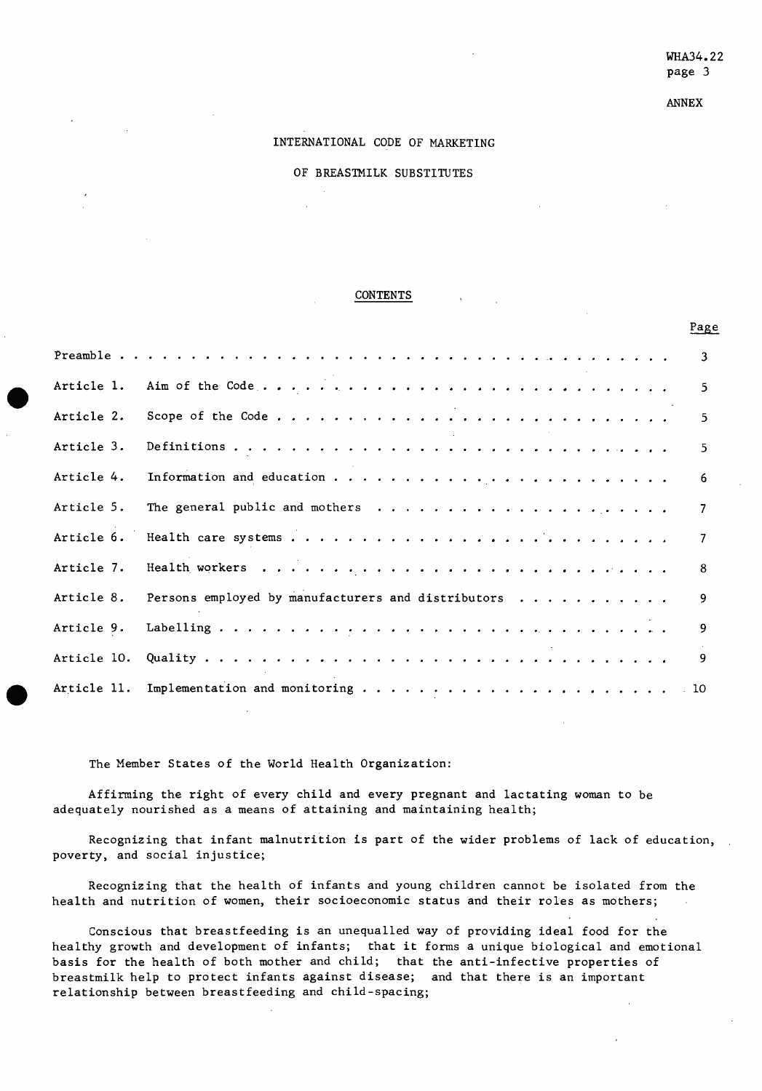ANNEX

# INTERNATIONAL CODE OF MARKETING

OF BREASTMILK SUBSTITUTES

#### CONTENTS

|             |                                                    | Page |
|-------------|----------------------------------------------------|------|
|             |                                                    | 3    |
| Article 1.  |                                                    | 5.   |
| Article 2.  |                                                    | 5    |
| Article 3.  |                                                    | 5    |
| Article 4.  |                                                    | 6    |
| Article 5.  |                                                    | - 7  |
| Article 6.  |                                                    |      |
| Article 7.  |                                                    | 8    |
| Article 8.  | Persons employed by manufacturers and distributors | 9    |
| Article 9.  |                                                    | 9    |
| Article 10. |                                                    | 9    |
|             |                                                    |      |

The Member States of the World Health Organization:

Affirming the right of every child and every pregnant and lactating woman to be adequately nourished as a means of attaining and maintaining health;

Recognizing that infant malnutrition is part of the wider problems of lack of education, poverty, and social injustice;

Recognizing that the health of infants and young children cannot be isolated from the health and nutrition of women, their socioeconomic status and their roles as mothers;

Conscious that breastfeeding is an unequalled way of providing ideal food for the healthy growth and development of infants; that it forms a unique biological and emotional basis for the health of both mother and child; that the anti-infective properties of breastmilk help to protect infants against disease; and that there is an important relationship between breastfeeding and child -spacing;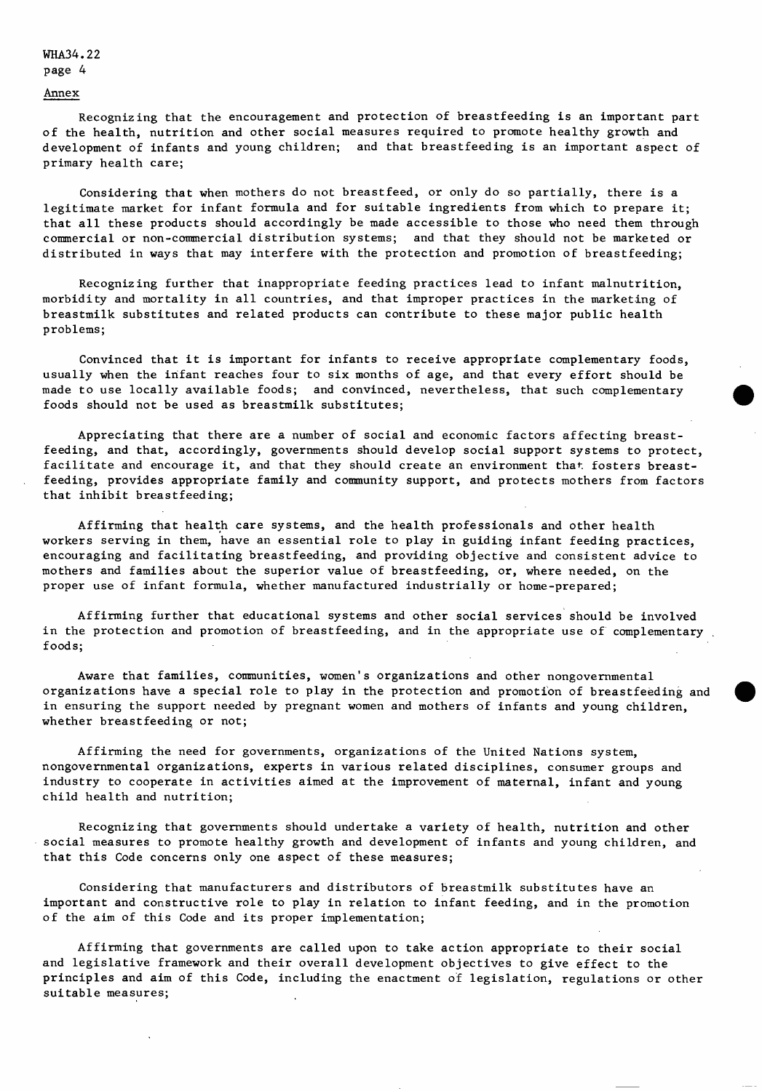WНАЭ4.22 page 4

#### Annex

Recognizing that the encouragement and protection of breastfeeding is an important part of the health, nutrition and other social measures required to promote healthy growth and development of infants and young children; and that breastfeeding is an important aspect of primary health care;

Considering that when mothers do not breastfeed, or only do so partially, there is a legitimate market for infant formula and for suitable ingredients from which to prepare it; that all these products should accordingly be made accessible to those who need them through commercial or non- commercial distribution systems; and that they should not be marketed or distributed in ways that may interfere with the protection and promotion of breastfeeding;

Recognizing further that inappropriate feeding practices lead to infant malnutrition, morbidity and mortality in all countries, and that improper practices in the marketing of breastmilk substitutes and related products can contribute to these major public health problems;

Convinced that it is important for infants to receive appropriate complementary foods, usually when the infant reaches four to six months of age, and that every effort should be made to use locally available foods; and convinced, nevertheless, that such complementary foods should not be used as breastmilk substitutes;

Appreciating that there are a number of social and economic factors affecting breastfeeding, and that, accordingly, governments should develop social support systems to protect, facilitate and encourage it, and that they should create an environment that fosters breastfeeding, provides appropriate family and community support, and protects mothers from factors that inhibit breastfeeding;

Affirming that health care systems, and the health professionals and other health workers serving in them, have an essential role to play in guiding infant feeding practices, encouraging and facilitating breastfeeding, and providing objective and consistent advice to mothers and families about the superior value of breastfeeding, or, where needed, on the proper use of infant formula, whether manufactured industrially or home -prepared;

Affirming further that educational systems and other social services should be involved in the protection and promotion of breastfeeding, and in the appropriate use of complementary foods;

Aware that families, communities, women's organizations and other nongovernmental organizations have a special role to play in the protection and promotion of breastfeeding and in ensuring the support needed by pregnant women and mothers of infants and young children, whether breastfeeding or not;

Affirming the need for governments, organizations of the United Nations system, nongovernmental organizations, experts in various related disciplines, consumer groups and industry to cooperate in activities aimed at the improvement of maternal, infant and young child health and nutrition;

Recognizing that governments should undertake a variety of health, nutrition and other social measures to promote healthy growth and development of infants and young children, and that this Code concerns only one aspect of these measures;

Considering that manufacturers and distributors of breastmilk substitutes have an important and constructive role to play in relation to infant feeding, and in the promotion of the aim of this Code and its proper implementation;

Affirming that governments are called upon to take action appropriate to their social and legislative framework and their overall development objectives to give effect to the principles and aim of this Code, including the enactment of legislation, regulations or other suitable measures;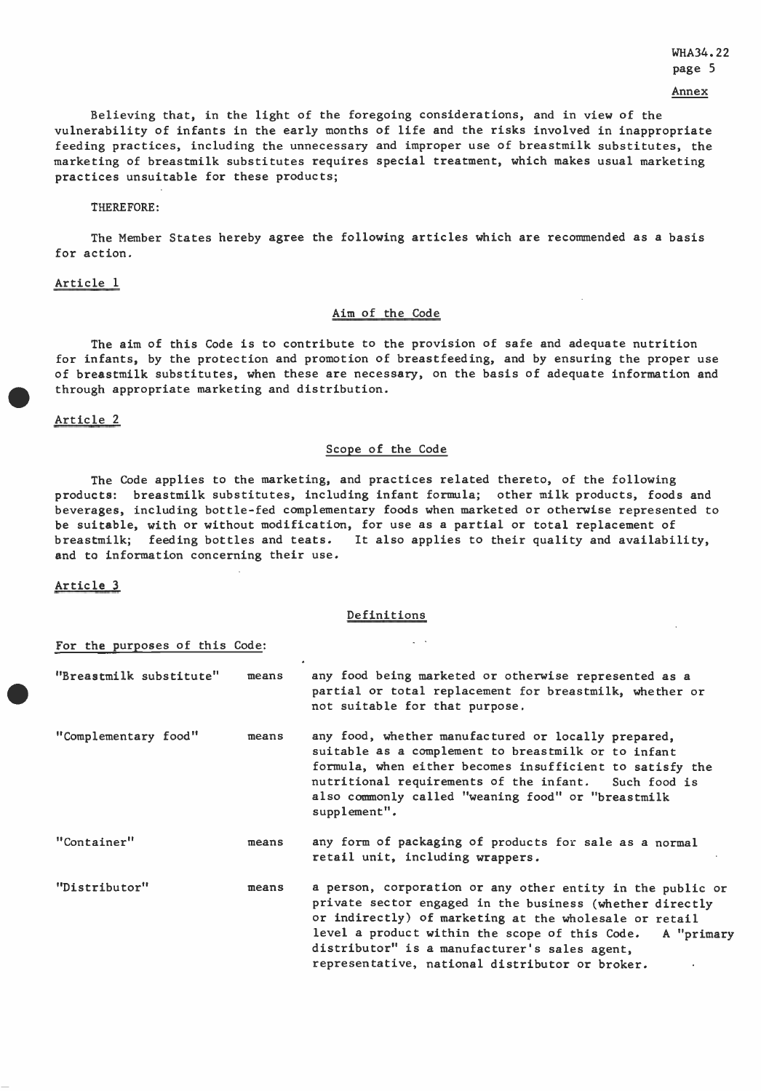WHA34.22

page 5

Annex

Believing that, in the light of the foregoing considerations, and in view of the vulnerability of infants in the early months of life and the risks involved in inappropriate feeding practices, including the unnecessary and improper use of breastmilk substitutes, the marketing of breastmilk substitutes requires special treatment, which makes usual marketing practices unsuitable for these products;

THEREFORE:

The Member States hereby agree the following articles which are recommended as a basis for action.

### Article 1

# Aim of the Code

for infants, by the protection and promotion of breastfeeding, and by ensuring the proper use<br>of breastmilk substitutes, when these are necessary, on the basis of adequate information and<br>through appropriate marketing and The aim of this Code is to contribute to the provision of safe and adequate nutrition of breastmilk substitutes, when these are necessary, on the basis of adequate information and through appropriate marketing and distribution.

# Article 2

# Scope of the Code

The Code applies to the marketing, and practices related thereto, of the following products: breastmilk substitutes, including infant formula; other milk products, foods and beverages, including bottle -fed complementary foods when marketed or otherwise represented to be suitable, with or without modification, for use as a partial or total replacement of breastmilk; feeding bottles and teats. It also applies to their quality and availability, and to information concerning their use.

Article 3

### Definitions

For the purposes of this Code:

| "Breastmilk substitute" | means | any food being marketed or otherwise represented as a<br>partial or total replacement for breastmilk, whether or<br>not suitable for that purpose.                                                                                                                                                                                                |
|-------------------------|-------|---------------------------------------------------------------------------------------------------------------------------------------------------------------------------------------------------------------------------------------------------------------------------------------------------------------------------------------------------|
| "Complementary food"    | means | any food, whether manufactured or locally prepared,<br>suitable as a complement to breastmilk or to infant<br>formula, when either becomes insufficient to satisfy the<br>nutritional requirements of the infant. Such food is<br>also commonly called "weaning food" or "breastmilk<br>supplement".                                              |
| "Container"             | means | any form of packaging of products for sale as a normal<br>retail unit, including wrappers.                                                                                                                                                                                                                                                        |
| "Distributor"           | means | a person, corporation or any other entity in the public or<br>private sector engaged in the business (whether directly<br>or indirectly) of marketing at the wholesale or retail<br>level a product within the scope of this Code. A "primary<br>distributor" is a manufacturer's sales agent,<br>representative, national distributor or broker. |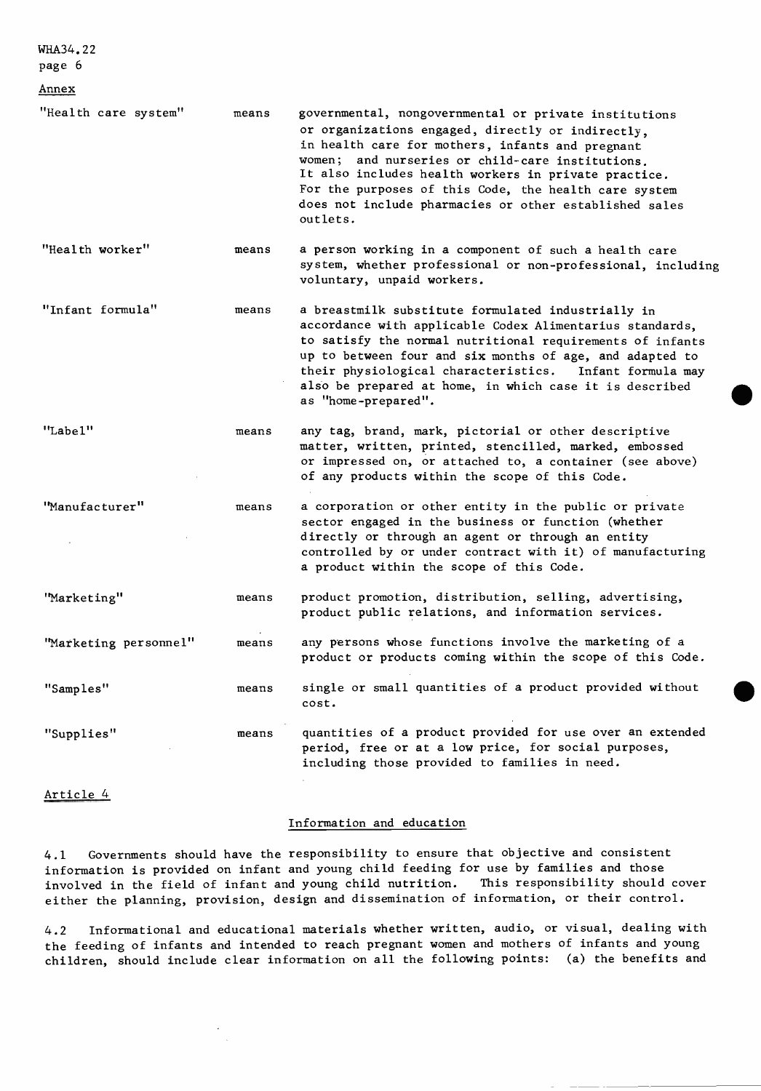page 6

| <u>Annex</u>          |       |                                                                                                                                                                                                                                                                                                                                                                                                           |
|-----------------------|-------|-----------------------------------------------------------------------------------------------------------------------------------------------------------------------------------------------------------------------------------------------------------------------------------------------------------------------------------------------------------------------------------------------------------|
| "Health care system"  | means | governmental, nongovernmental or private institutions<br>or organizations engaged, directly or indirectly,<br>in health care for mothers, infants and pregnant<br>women; and nurseries or child-care institutions.<br>It also includes health workers in private practice.<br>For the purposes of this Code, the health care system<br>does not include pharmacies or other established sales<br>outlets. |
| "Health worker"       | means | a person working in a component of such a health care<br>system, whether professional or non-professional, including<br>voluntary, unpaid workers.                                                                                                                                                                                                                                                        |
| "Infant formula"      | means | a breastmilk substitute formulated industrially in<br>accordance with applicable Codex Alimentarius standards,<br>to satisfy the normal nutritional requirements of infants<br>up to between four and six months of age, and adapted to<br>their physiological characteristics. Infant formula may<br>also be prepared at home, in which case it is described<br>as "home-prepared".                      |
| "Label"               | means | any tag, brand, mark, pictorial or other descriptive<br>matter, written, printed, stencilled, marked, embossed<br>or impressed on, or attached to, a container (see above)<br>of any products within the scope of this Code.                                                                                                                                                                              |
| "Manufacturer"        | means | a corporation or other entity in the public or private<br>sector engaged in the business or function (whether<br>directly or through an agent or through an entity<br>controlled by or under contract with it) of manufacturing<br>a product within the scope of this Code.                                                                                                                               |
| "Marketing"           | means | product promotion, distribution, selling, advertising,<br>product public relations, and information services.                                                                                                                                                                                                                                                                                             |
| "Marketing personnel" | means | any persons whose functions involve the marketing of a<br>product or products coming within the scope of this Code.                                                                                                                                                                                                                                                                                       |
| "Samples"             | means | single or small quantities of a product provided without<br>cost.                                                                                                                                                                                                                                                                                                                                         |
| "Supplies"            | means | quantities of a product provided for use over an extended<br>period, free or at a low price, for social purposes,<br>including those provided to families in need.                                                                                                                                                                                                                                        |

# Article 4

# Information and education

4.1 Governments should have the responsibility to ensure that objective and consistent information is provided on infant and young child feeding for use by families and those involved in the field of infant and young child nutrition. This responsibility should cover either the planning, provision, design and dissemination of information, or their control.

4.2 Informational and educational materials whether written, audio, or visual, dealing with the feeding of infants and intended to reach pregnant women and mothers of infants and young children, should include clear information on all the following points: (a) the benefits and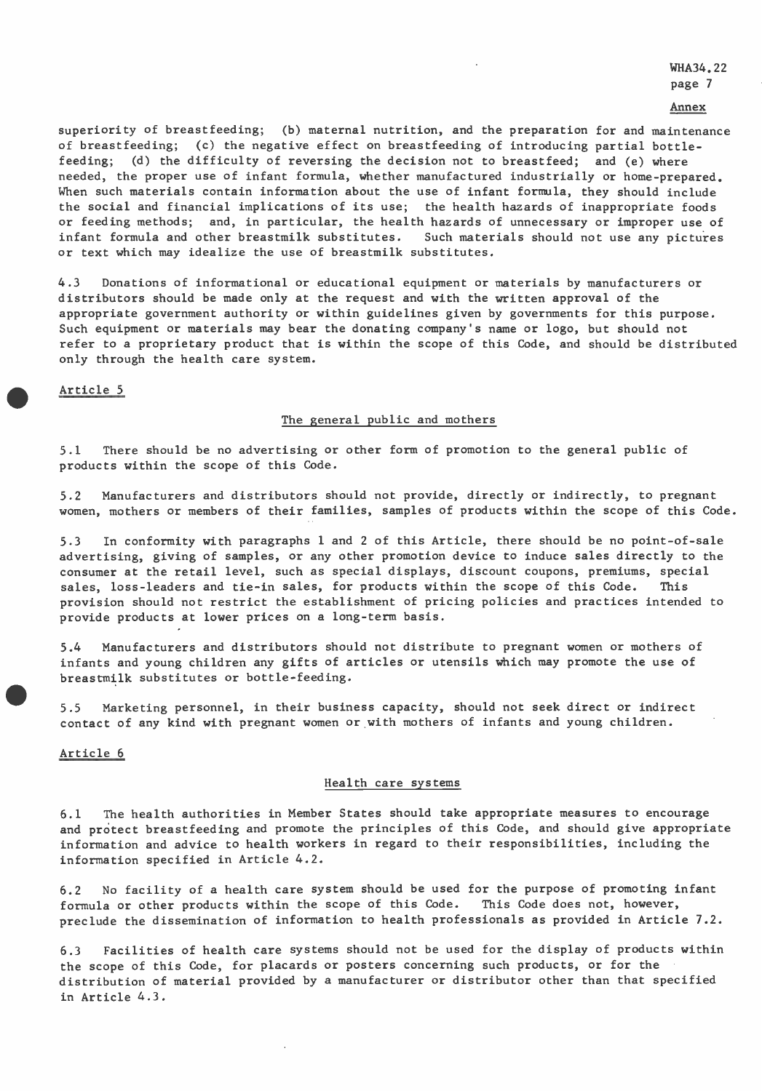WHA34.22 page 7

Annex

superiority of breastfeeding; (b) maternal nutrition, and the preparation for and maintenance of breastfeeding; (c) the negative effect on breastfeeding of introducing partial bottle feeding; (d) the difficulty of reversing the decision not to breastfeed; and (e) where needed, the proper use of infant formula, whether manufactured industrially or home-prepared. When such materials contain information about the use of infant formula, they should include the social and financial implications of its use; the health hazards of inappropriate foods or feeding methods; and, in particular, the health hazards of unnecessary or improper use of infant formula and other breastmilk substitutes. Such materials should not use any pictures or text which may idealize the use of breastmilk substitutes.

4.3 Donations of informational or educational equipment or materials by manufacturers or distributors should be made only at the request and with the written approval of the appropriate government authority or within guidelines given by governments for this purpose. Such equipment or materials may bear the donating company's name or logo, but should not refer to a proprietary product that is within the scope of this Code, and should be distributed only through the health care system.

Article 5

### The general public and mothers

5.1 There should be no advertising or other form of promotion to the general public of products within the scope of this Code.

5.2 Manufacturers and distributors should not provide, directly or indirectly, to pregnant women, mothers or members of their families, samples of products within the scope of this Code.

5.3 In conformity with paragraphs 1 and 2 of this Article, there should be no point -of -sale advertising, giving of samples, or any other promotion device to induce sales directly to the consumer at the retail level, such as special displays, discount coupons, premiums, special sales, loss-leaders and tie-in sales, for products within the scope of this Code. This provision should not restrict the establishment of pricing policies and practices intended to provide products at lower prices on a long -term basis.

5.4 Manufacturers and distributors should not distribute to pregnant women or mothers of infants and young children any gifts of articles or utensils which may promote the use of breastmilk substitutes or bottle -feeding.

5.5 Marketing personnel, in their business capacity, should not seek direct or indirect contact of any kind with pregnant women or with mothers of infants and young children.

# Article 6

### Health care systems

6.1 The health authorities in Member States should take appropriate measures to encourage and protect breastfeeding and promote the principles of this Code, and should give appropriate information and advice to health workers in regard to their responsibilities, including the information specified in Article 4.2.

6.2 No facility of a health care system should be used for the purpose of promoting infant formula or other products within the scope of this Code. This Code does not, however, preclude the dissemination of information to health professionals as provided in Article 7.2.

6.3 Facilities of health care systems should not be used for the display of products within the scope of this Code, for placards or posters concerning such products, or for the distribution of material provided by a manufacturer or distributor other than that specified in Article 4.3.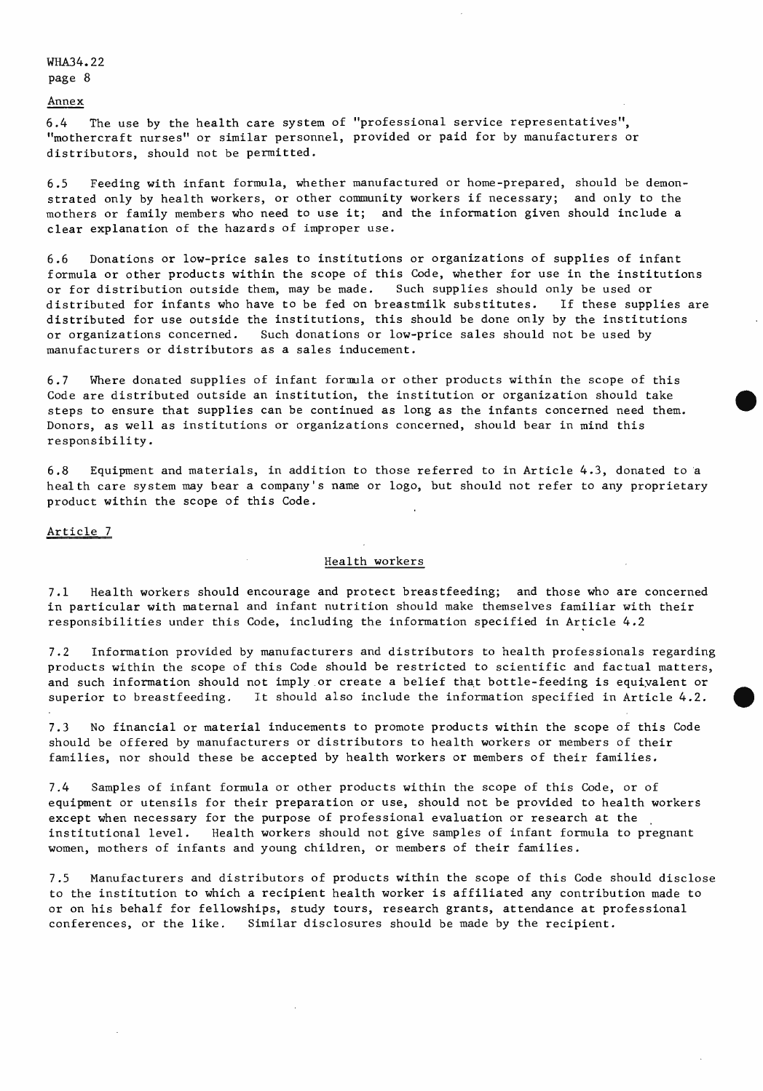WHA34.22 page 8

Annex

6.4 The use by the health care system of "professional service representatives", "mothercraft nurses" or similar personnel, provided or paid for by manufacturers or distributors, should not be permitted.

6.5 Feeding with infant formula, whether manufactured or home -prepared, should be demonstrated only by health workers, or other community workers if necessary; and only to the mothers or family members who need to use it; and the information given should include a clear explanation of the hazards of improper use.

6.6 Donations or low -price sales to institutions or organizations of supplies of infant formula or other products within the scope of this Code, whether for use in the institutions or for distribution outside them, may be made. Such supplies should only be used or distributed for infants who have to be fed on breastmilk substitutes. If these supplies are distributed for use outside the institutions, this should be done only by the institutions or organizations concerned. Such donations or low -price sales should not be used by manufacturers or distributors as a sales inducement.

6.7 Where donated supplies of infant formula or other products within the scope of this Code are distributed outside an institution, the institution or organization should take steps to ensure that supplies can be continued as long as the infants concerned need them. Donors, as well as institutions or organizations concerned, should bear in mind this responsibility.

6.8 Equipment and materials, in addition to those referred to in Article 4.3, donated to a health care system may bear a company's name or logo, but should not refer to any proprietary product within the scope of this Code.

# Article 7

#### Health workers

7.1 Health workers should encourage and protect breastfeeding; and those who are concerned in particular with maternal and infant nutrition should make themselves familiar with their responsibilities under this Code, including the information specified in Article 4.2

7.2 Information provided by manufacturers and distributors to health professionals regarding products within the scope of this Code should be restricted to scientific and factual matters, and such information should not imply or create a belief that bottle - feeding is equivalent or superior to breastfeeding. It should also include the information specified in Article 4.2.

7.3 No financial or material inducements to promote products within the scope of this Code should be offered by manufacturers or distributors to health workers or members of their families, nor should these be accepted by health workers or members of their families.

7.4 Samples of infant formula or other products within the scope of this Code, or of equipment or utensils for their preparation or use, should not be provided to health workers except when necessary for the purpose of professional evaluation or research at the institutional level. Health workers should not give samples of infant formula to pregnant women, mothers of infants and young children, or members of their families.

7.5 Manufacturers and distributors of products within the scope of this Code should disclose to the institution to which a recipient health worker is affiliated any contribution made to or on his behalf for fellowships, study tours, research grants, attendance at professional conferences, or the like. Similar disclosures should be made by the recipient.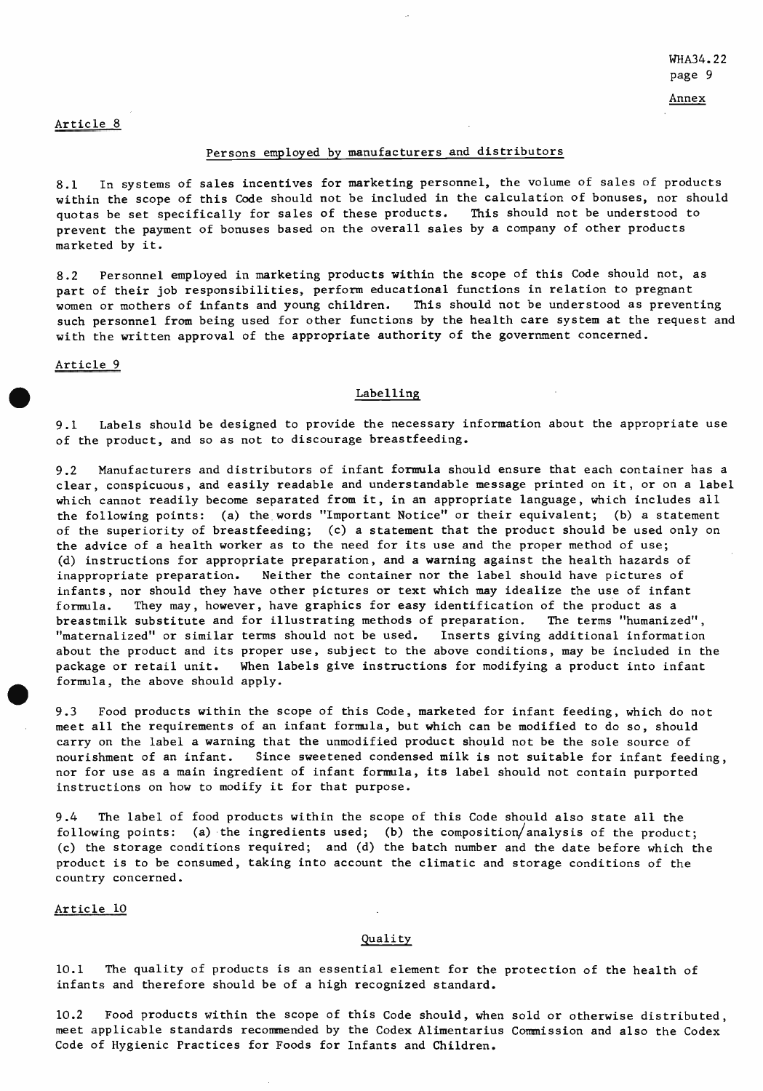Annex

# Article 8

# Persons employed by manufacturers and distributors

8.1 In systems of sales incentives for marketing personnel, the volume of sales of products within the scope of this Code should not be included in the calculation of bonuses, nor should<br>quotas be set specifically for sales of these products. This should not be understood to quotas be set specifically for sales of these products. prevent the payment of bonuses based on the overall sales by a company of other products marketed by it.

8.2 Personnel employed in marketing products within the scope of this Code should not, as part of their job responsibilities, perform educational functions in relation to pregnant women or mothers of infants and young children. This should not be understood as preventing such personnel from being used for other functions by the health care system at the request and with the written approval of the appropriate authority of the government concerned. with the written approval of the appropriate authority of the<br>Article 9<br>Labelling<br>Labelling

9.1 Labels should be designed to provide the necessary information about the appropriate use of the product, and so as not to discourage breastfeeding.

9.2 Manufacturers and distributors of infant formula should ensure that each container has a clear, conspicuous, and easily readable and understandable message printed on it, or on a label which cannot readily become separated from it, in an appropriate language, which includes all the following points: (a) the words "Important Notice" or their equivalent; (b) a statement of the superiority of breastfeeding; (c) a statement that the product should be used only on the advice of a health worker as to the need for its use and the proper method of use; (d) instructions for appropriate preparation, and a warning against the health hazards of inappropriate preparation. Neither the container nor the label should have pictures of infants, nor should they have other pictures or text which may idealize the use of infant formula. They may, however, have graphics for easy identification of the product as a breastmilk substitute and for illustrating methods of preparation. The terms "humanized", "maternalized" or similar terms should not be used. Inserts giving additional information about the product and its proper use, subject to the above conditions, may be included in the package or retail unit. When labels give instructions for modifying a product into infant formula, the above should apply.

9.3 Food products within the scope of this Code, marketed for infant feeding, which do not meet all the requirements of an infant formula, but which can be modified to do so, should carry on the label a warning that the unmodified product should not be the sole source of nourishment of an infant. Since sweetened condensed milk is not suitable for infant feeding, nor for use as a main ingredient of infant formula, its label should not contain purported instructions on how to modify it for that purpose.

9.4 The label of food products within the scope of this Code should also state all the following points: (a) the ingredients used; (b) the composition/analysis of the product; (c) the storage conditions required; and (d) the batch number and the date before which the product is to be consumed, taking into account the climatic and storage conditions of the country concerned.

Article 10

### Quality

10.1 The quality of products is an essential element for the protection of the health of infants and therefore should be of a high recognized standard.

10.2 Food products within the scope of this Code should, when sold or otherwise distributed, meet applicable standards recommended by the Codex Alimentarius Commission and also the Codex Code of Hygienic Practices for Foods for Infants and Children.